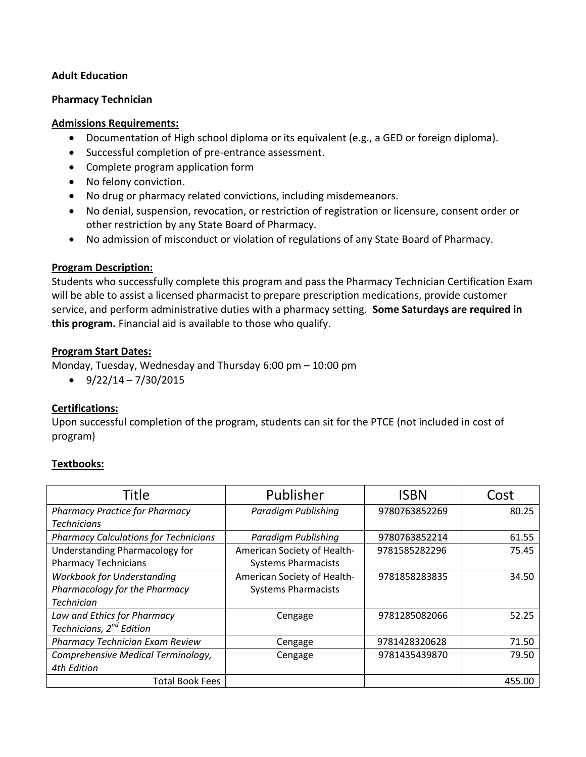## **Adult Education**

## **Pharmacy Technician**

## **Admissions Requirements:**

- Documentation of High school diploma or its equivalent (e.g., a GED or foreign diploma).
- Successful completion of pre-entrance assessment.
- Complete program application form
- No felony conviction.
- No drug or pharmacy related convictions, including misdemeanors.
- No denial, suspension, revocation, or restriction of registration or licensure, consent order or other restriction by any State Board of Pharmacy.
- No admission of misconduct or violation of regulations of any State Board of Pharmacy.

## **Program Description:**

Students who successfully complete this program and pass the Pharmacy Technician Certification Exam will be able to assist a licensed pharmacist to prepare prescription medications, provide customer service, and perform administrative duties with a pharmacy setting. **Some Saturdays are required in this program.** Financial aid is available to those who qualify.

## **Program Start Dates:**

Monday, Tuesday, Wednesday and Thursday 6:00 pm – 10:00 pm

 $\bullet$  9/22/14 – 7/30/2015

# **Certifications:**

Upon successful completion of the program, students can sit for the PTCE (not included in cost of program)

# **Textbooks:**

| Title                                        | Publisher                   | <b>ISBN</b>   | Cost   |
|----------------------------------------------|-----------------------------|---------------|--------|
| <b>Pharmacy Practice for Pharmacy</b>        | Paradigm Publishing         | 9780763852269 | 80.25  |
| <b>Technicians</b>                           |                             |               |        |
| <b>Pharmacy Calculations for Technicians</b> | Paradigm Publishing         | 9780763852214 | 61.55  |
| Understanding Pharmacology for               | American Society of Health- | 9781585282296 | 75.45  |
| <b>Pharmacy Technicians</b>                  | <b>Systems Pharmacists</b>  |               |        |
| <b>Workbook for Understanding</b>            | American Society of Health- | 9781858283835 | 34.50  |
| Pharmacology for the Pharmacy                | <b>Systems Pharmacists</b>  |               |        |
| <b>Technician</b>                            |                             |               |        |
| Law and Ethics for Pharmacy                  | Cengage                     | 9781285082066 | 52.25  |
| Technicians, 2 <sup>nd</sup> Edition         |                             |               |        |
| Pharmacy Technician Exam Review              | Cengage                     | 9781428320628 | 71.50  |
| Comprehensive Medical Terminology,           | Cengage                     | 9781435439870 | 79.50  |
| 4th Edition                                  |                             |               |        |
| <b>Total Book Fees</b>                       |                             |               | 455.00 |